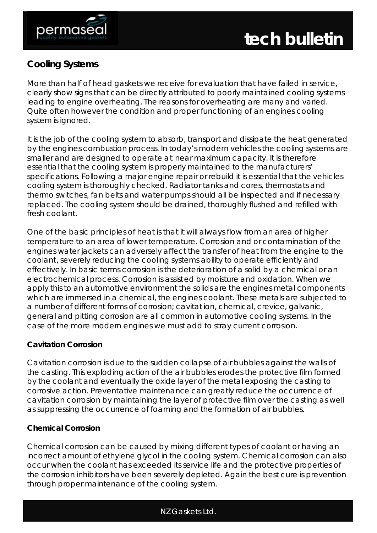



# **Cooling Systems**

More than half of head gaskets we receive for evaluation that have failed in service, clearly show signs that can be directly attributed to poorly maintained cooling systems leading to engine overheating. The reasons for overheating are many and varied. Quite often however the condition and proper functioning of an engines cooling system is ignored.

It is the job of the cooling system to absorb, transport and dissipate the heat generated by the engines combustion process. In today's modern vehicles the cooling systems are smaller and are designed to operate at near maximum capacity. It is therefore essential that the cooling system is properly maintained to the manufacturers' specifications. Following a major engine repair or rebuild it is essential that the vehicles cooling system is thoroughly checked. Radiator tanks and cores, thermostats and thermo switches, fan belts and water pumps should all be inspected and if necessary replaced. The cooling system should be drained, thoroughly flushed and refilled with fresh coolant.

One of the basic principles of heat is that it will always flow from an area of higher temperature to an area of lower temperature. Corrosion and or contamination of the engines water jackets can adversely affect the transfer of heat from the engine to the coolant, severely reducing the cooling systems ability to operate efficiently and effectively. In basic terms corrosion is the deterioration of a solid by a chemical or an electrochemical process. Corrosion is assisted by moisture and oxidation. When we apply this to an automotive environment the solids are the engines metal components which are immersed in a chemical, the engines coolant. These metals are subjected to a number of different forms of corrosion; cavitat ion, chemical, crevice, galvanic, general and pitting corrosion are all common in automotive cooling systems. In the case of the more modern engines we must add to stray current corrosion.

## **Cavitation Corrosion**

Cavitation corrosion is due to the sudden collapse of air bubbles against the walls of the casting. This exploding action of the air bubbles erodes the protective film formed by the coolant and eventually the oxide layer of the metal exposing the casting to corrosive action. Preventative maintenance can greatly reduce the occurrence of cavitation corrosion by maintaining the layer of protective film over the casting as well as suppressing the occurrence of foaming and the formation of air bubbles.

## **Chemical Corrosion**

Chemical corrosion can be caused by mixing different types of coolant or having an incorrect amount of ethylene glycol in the cooling system. Chemical corrosion can also occur when the coolant has exceeded its service life and the protective properties of the corrosion inhibitors have been severely depleted. Again the best cure is prevention through proper maintenance of the cooling system.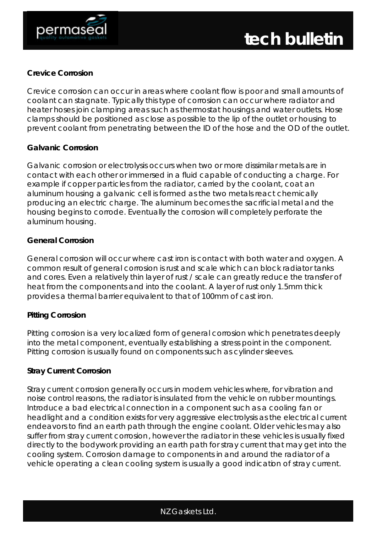

#### **Crevice Corrosion**

Crevice corrosion can occur in areas where coolant flow is poor and small amounts of coolant can stagnate. Typically this type of corrosion can occur where radiator and heater hoses join clamping areas such as thermostat housings and water outlets. Hose clamps should be positioned as close as possible to the lip of the outlet or housing to prevent coolant from penetrating between the ID of the hose and the OD of the outlet.

#### **Galvanic Corrosion**

Galvanic corrosion or electrolysis occurs when two or more dissimilar metals are in contact with each other or immersed in a fluid capable of conducting a charge. For example if copper particles from the radiator, carried by the coolant, coat an aluminum housing a galvanic cell is formed as the two metals react chemically producing an electric charge. The aluminum becomes the sacrificial metal and the housing begins to corrode. Eventually the corrosion will completely perforate the aluminum housing.

## **General Corrosion**

General corrosion will occur where cast iron is contact with both water and oxygen. A common result of general corrosion is rust and scale which can block radiator tanks and cores. Even a relatively thin layer of rust / scale can greatly reduce the transfer of heat from the components and into the coolant. A layer of rust only 1.5mm thick provides a thermal barrier equivalent to that of 100mm of cast iron.

## **Pitting Corrosion**

Pitting corrosion is a very localized form of general corrosion which penetrates deeply into the metal component, eventually establishing a stress point in the component. Pitting corrosion is usually found on components such as cylinder sleeves.

#### **Stray Current Corrosion**

Stray current corrosion generally occurs in modern vehicles where, for vibration and noise control reasons, the radiator is insulated from the vehicle on rubber mountings. Introduce a bad electrical connection in a component such as a cooling fan or headlight and a condition exists for very aggressive electrolysis as the electrical current endeavors to find an earth path through the engine coolant. Older vehicles may also suffer from stray current corrosion, however the radiator in these vehicles is usually fixed directly to the bodywork providing an earth path for stray current that may get into the cooling system. Corrosion damage to components in and around the radiator of a vehicle operating a clean cooling system is usually a good indication of stray current.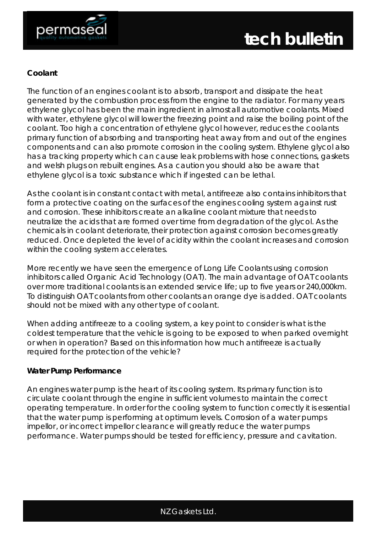



## **Coolant**

The function of an engines coolant is to absorb, transport and dissipate the heat generated by the combustion process from the engine to the radiator. For many years ethylene glycol has been the main ingredient in almost all automotive coolants. Mixed with water, ethylene glycol will lower the freezing point and raise the boiling point of the coolant. Too high a concentration of ethylene glycol however, reduces the coolants primary function of absorbing and transporting heat away from and out of the engines components and can also promote corrosion in the cooling system. Ethylene glycol also has a tracking property which can cause leak problems with hose connections, gaskets and welsh plugs on rebuilt engines. As a caution you should also be aware that ethylene glycol is a toxic substance which if ingested can be lethal.

As the coolant is in constant contact with metal, antifreeze also contains inhibitors that form a protective coating on the surfaces of the engines cooling system against rust and corrosion. These inhibitors create an alkaline coolant mixture that needs to neutralize the acids that are formed over time from degradation of the glycol. As the chemicals in coolant deteriorate, their protection against corrosion becomes greatly reduced. Once depleted the level of acidity within the coolant increases and corrosion within the cooling system accelerates.

More recently we have seen the emergence of Long Life Coolants using corrosion inhibitors called Organic Acid Technology (OAT). The main advantage of OAT coolants over more traditional coolants is an extended service life; up to five years or 240,000km. To distinguish OAT coolants from other coolants an orange dye is added. OAT coolants should not be mixed with any other type of coolant.

When adding antifreeze to a cooling system, a key point to consider is what is the coldest temperature that the vehicle is going to be exposed to when parked overnight or when in operation? Based on this information how much antifreeze is actually required for the protection of the vehicle?

#### **Water Pump Performance**

An engines water pump is the heart of its cooling system. Its primary function is to circulate coolant through the engine in sufficient volumes to maintain the correct operating temperature. In order for the cooling system to function correctly it is essential that the water pump is performing at optimum levels. Corrosion of a water pumps impellor, or incorrect impellor clearance will greatly reduce the water pumps performance. Water pumps should be tested for efficiency, pressure and cavitation.